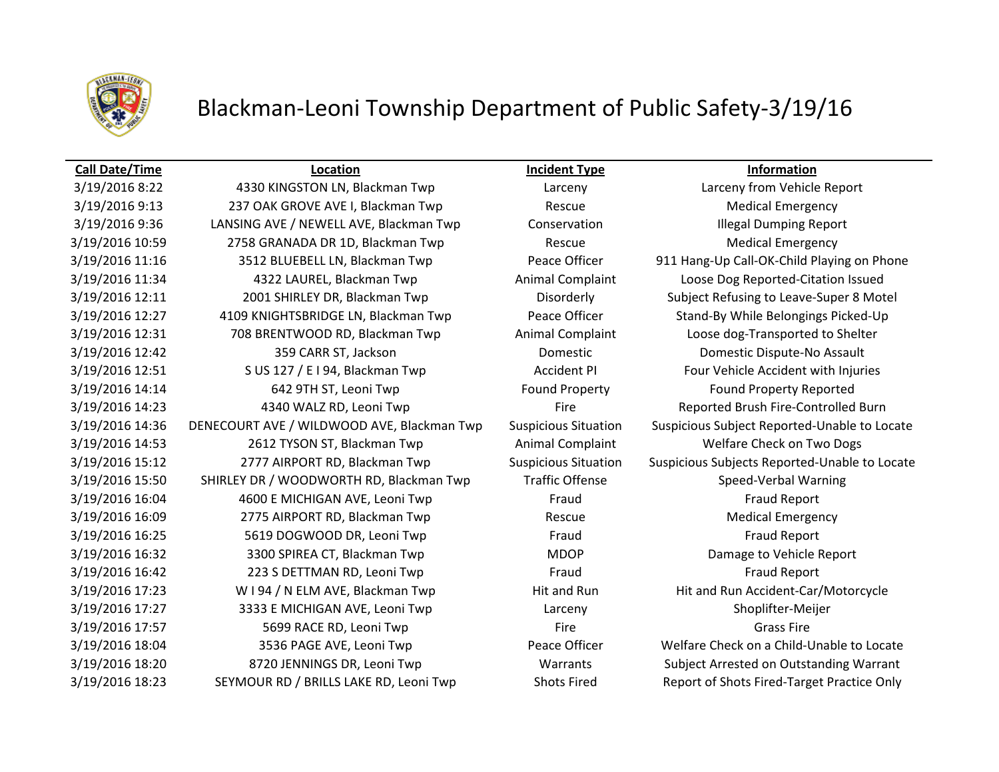

# Blackman-Leoni Township Department of Public Safety-3/19/16

## **Call Date/Time Location Incident Type Information**

3/19/2016 9:13 237 OAK GROVE AVE I, Blackman Twp Rescue Rescue Medical Emergency 3/19/2016 9:36 LANSING AVE / NEWELL AVE, Blackman Twp Conservation Illegal Dumping Report 3/19/2016 10:59 2758 GRANADA DR 1D, Blackman Twp Rescue Rescue Medical Emergency 3/19/2016 11:16 3512 BLUEBELL LN, Blackman Twp Peace Officer 911 Hang-Up Call-OK-Child Playing on Phone 3/19/2016 11:34 4322 LAUREL, Blackman Twp Animal Complaint Loose Dog Reported-Citation Issued 3/19/2016 12:11 2001 SHIRLEY DR, Blackman Twp Disorderly Subject Refusing to Leave-Super 8 Motel 3/19/2016 12:27 4109 KNIGHTSBRIDGE LN, Blackman Twp Peace Officer Stand-By While Belongings Picked-Up 3/19/2016 12:31 708 BRENTWOOD RD, Blackman Twp **Animal Complaint** Loose dog-Transported to Shelter 3/19/2016 12:42 359 CARR ST, Jackson Domestic Domestic Dispute-No Assault 3/19/2016 12:51 S US 127 / E I 94, Blackman Twp **Accident PI** Four Vehicle Accident with Injuries 3/19/2016 14:14 642 9TH ST, Leoni Twp Found Property Found Property Found Property Reported 3/19/2016 14:23 4340 WALZ RD, Leoni Twp Fire Fire Reported Brush Fire-Controlled Burn 3/19/2016 14:53 2612 TYSON ST, Blackman Twp Animal Complaint Welfare Check on Two Dogs 3/19/2016 15:50 SHIRLEY DR / WOODWORTH RD, Blackman Twp Traffic Offense Speed-Verbal Warning 3/19/2016 16:04 4600 E MICHIGAN AVE, Leoni Twp Fraud Fraud Fraud Fraud Report 3/19/2016 16:09 2775 AIRPORT RD, Blackman Twp Rescue Medical Emergency 3/19/2016 16:25 **5619 DOGWOOD DR, Leoni Twp** Fraud Fraud Fraud Fraud Report 3/19/2016 16:32 3300 SPIREA CT, Blackman Twp MDOP Damage to Vehicle Report 3/19/2016 16:42 223 S DETTMAN RD, Leoni Twp Fraud Fraud Fraud Fraud Report 3/19/2016 17:23 W I 94 / N ELM AVE, Blackman Twp Hit and Run Hit and Run Hit and Run Accident-Car/Motorcycle 3/19/2016 17:27 3333 E MICHIGAN AVE, Leoni Twp Larceny Larceny Shoplifter-Meijer 3/19/2016 17:57 S699 RACE RD, Leoni Twp Fire Fire Fire Grass Fire Grass Fire Grass Fire 3/19/2016 18:04 3536 PAGE AVE, Leoni Twp Peace Officer Welfare Check on a Child-Unable to Locate 3/19/2016 18:20 8720 JENNINGS DR, Leoni Twp Warrants Subject Arrested on Outstanding Warrant 3/19/2016 18:23 SEYMOUR RD / BRILLS LAKE RD, Leoni Twp Shots Fired Report of Shots Fired-Target Practice Only

3/19/2016 8:22 4330 KINGSTON LN, Blackman Twp Larceny Larceny from Vehicle Report 3/19/2016 14:36 DENECOURT AVE / WILDWOOD AVE, Blackman Twp Suspicious Situation Suspicious Subject Reported-Unable to Locate 3/19/2016 15:12 2777 AIRPORT RD, Blackman Twp Suspicious Situation Suspicious Subjects Reported-Unable to Locate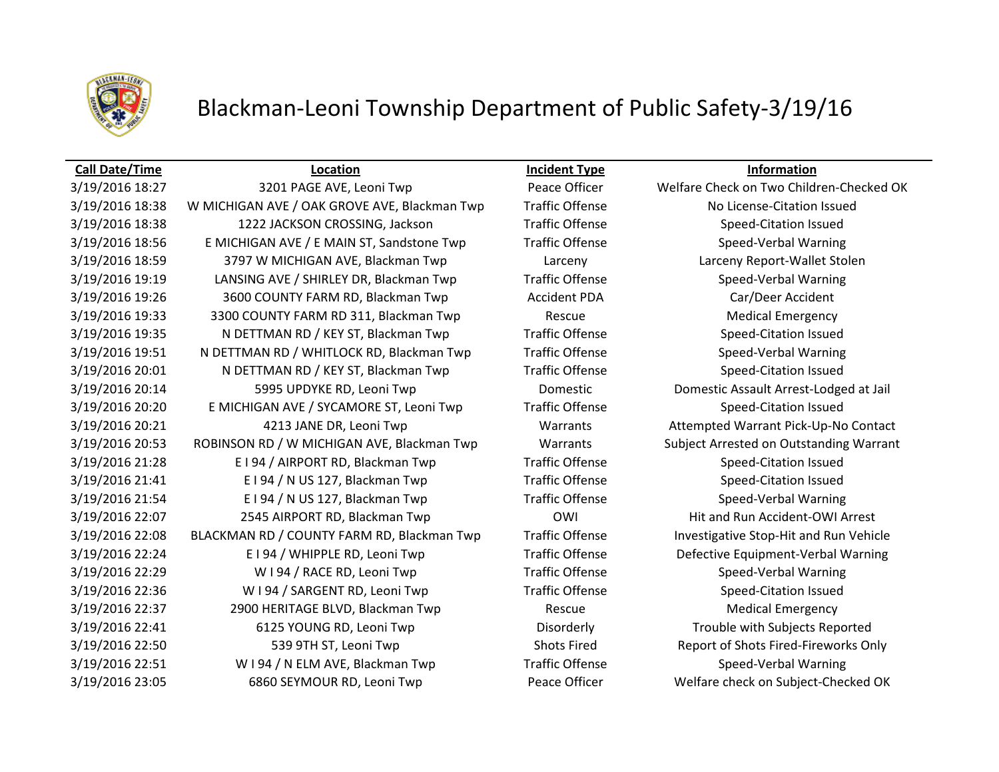

## Blackman-Leoni Township Department of Public Safety-3/19/16

### **Call Date/Time Location Incident Type Information**

3/19/2016 18:38 W MICHIGAN AVE / OAK GROVE AVE, Blackman Twp Traffic Offense No License-Citation Issued 3/19/2016 18:38 1222 JACKSON CROSSING, Jackson Traffic Offense Speed-Citation Issued 3/19/2016 18:56 E MICHIGAN AVE / E MAIN ST, Sandstone Twp Traffic Offense Speed-Verbal Warning 3/19/2016 18:59 3797 W MICHIGAN AVE, Blackman Twp Larceny Larceny Report-Wallet Stolen 3/19/2016 19:19 LANSING AVE / SHIRLEY DR, Blackman Twp Traffic Offense Speed-Verbal Warning 3/19/2016 19:26 3600 COUNTY FARM RD, Blackman Twp **Accident PDA** Car/Deer Accident 3/19/2016 19:33 3300 COUNTY FARM RD 311, Blackman Twp Rescue Rescue Medical Emergency 3/19/2016 19:35 N DETTMAN RD / KEY ST, Blackman Twp Traffic Offense Speed-Citation Issued 3/19/2016 19:51 N DETTMAN RD / WHITLOCK RD, Blackman Twp Traffic Offense Speed-Verbal Warning 3/19/2016 20:01 N DETTMAN RD / KEY ST, Blackman Twp Traffic Offense Speed-Citation Issued 3/19/2016 20:14 5995 UPDYKE RD, Leoni Twp Domestic Domestic Assault Arrest-Lodged at Jail 3/19/2016 20:20 E MICHIGAN AVE / SYCAMORE ST, Leoni Twp Traffic Offense Speed-Citation Issued 3/19/2016 20:21 4213 JANE DR, Leoni Twp Warrants Attempted Warrant Pick-Up-No Contact 3/19/2016 20:53 ROBINSON RD / W MICHIGAN AVE, Blackman Twp Warrants Subject Arrested on Outstanding Warrant 3/19/2016 21:28 E I 94 / AIRPORT RD, Blackman Twp Traffic Offense Speed-Citation Issued 3/19/2016 21:41 E I 94 / N US 127, Blackman Twp Traffic Offense Speed-Citation Issued 3/19/2016 21:54 E I 94 / N US 127, Blackman Twp Traffic Offense Speed-Verbal Warning 3/19/2016 22:07 2545 AIRPORT RD, Blackman Twp OWI Hit and Run Accident-OWI Arrest 3/19/2016 22:08 BLACKMAN RD / COUNTY FARM RD, Blackman Twp Traffic Offense Investigative Stop-Hit and Run Vehicle 3/19/2016 22:24 E I 94 / WHIPPLE RD, Leoni Twp Traffic Offense Defective Equipment-Verbal Warning 3/19/2016 22:29 WI 94 / RACE RD, Leoni Twp Traffic Offense Speed-Verbal Warning 3/19/2016 22:36 WI 94 / SARGENT RD, Leoni Twp Traffic Offense Speed-Citation Issued 3/19/2016 22:37 2900 HERITAGE BLVD, Blackman Twp Rescue Rescue Medical Emergency 3/19/2016 22:41 6125 YOUNG RD, Leoni Twp Disorderly Trouble with Subjects Reported 3/19/2016 22:50 539 9TH ST, Leoni Twp Shots Fired Report of Shots Fired Report of Shots Fired-Fireworks Only 3/19/2016 22:51 W I 94 / N ELM AVE, Blackman Twp Traffic Offense Speed-Verbal Warning 3/19/2016 23:05 6860 SEYMOUR RD, Leoni Twp Peace Officer Welfare check on Subject-Checked OK

3/19/2016 18:27 3201 PAGE AVE, Leoni Twp Peace Officer Welfare Check on Two Children-Checked OK